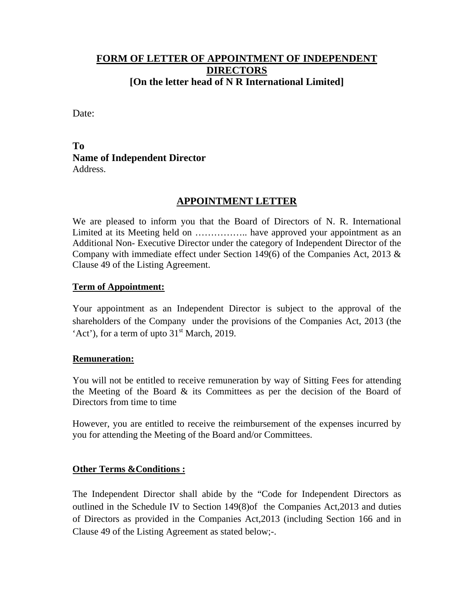# **FORM OF LETTER OF APPOINTMENT OF INDEPENDENT DIRECTORS [On the letter head of N R International Limited]**

Date:

# **To Name of Independent Director**  Address.

# **APPOINTMENT LETTER**

We are pleased to inform you that the Board of Directors of N. R. International Limited at its Meeting held on .................... have approved your appointment as an Additional Non- Executive Director under the category of Independent Director of the Company with immediate effect under Section 149(6) of the Companies Act, 2013 & Clause 49 of the Listing Agreement.

#### **Term of Appointment:**

Your appointment as an Independent Director is subject to the approval of the shareholders of the Company under the provisions of the Companies Act, 2013 (the 'Act'), for a term of upto  $31<sup>st</sup>$  March, 2019.

#### **Remuneration:**

You will not be entitled to receive remuneration by way of Sitting Fees for attending the Meeting of the Board & its Committees as per the decision of the Board of Directors from time to time

However, you are entitled to receive the reimbursement of the expenses incurred by you for attending the Meeting of the Board and/or Committees.

#### **Other Terms &Conditions :**

The Independent Director shall abide by the "Code for Independent Directors as outlined in the Schedule IV to Section 149(8)of the Companies Act,2013 and duties of Directors as provided in the Companies Act,2013 (including Section 166 and in Clause 49 of the Listing Agreement as stated below;-.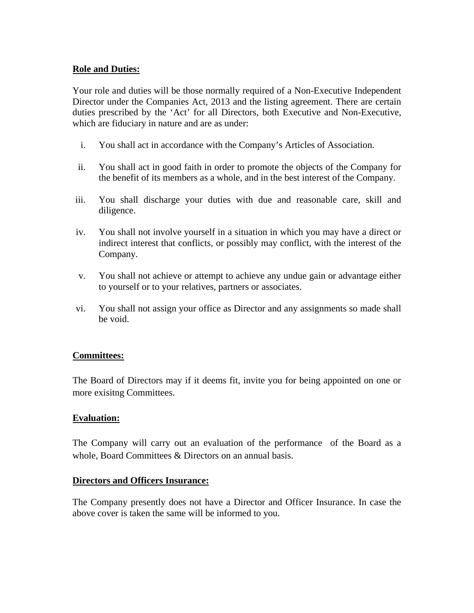### **Role and Duties:**

Your role and duties will be those normally required of a Non-Executive Independent Director under the Companies Act, 2013 and the listing agreement. There are certain duties prescribed by the 'Act' for all Directors, both Executive and Non-Executive, which are fiduciary in nature and are as under:

- i. You shall act in accordance with the Company's Articles of Association.
- ii. You shall act in good faith in order to promote the objects of the Company for the benefit of its members as a whole, and in the best interest of the Company.
- iii. You shall discharge your duties with due and reasonable care, skill and diligence.
- iv. You shall not involve yourself in a situation in which you may have a direct or indirect interest that conflicts, or possibly may conflict, with the interest of the Company.
- v. You shall not achieve or attempt to achieve any undue gain or advantage either to yourself or to your relatives, partners or associates.
- vi. You shall not assign your office as Director and any assignments so made shall be void.

#### **Committees:**

The Board of Directors may if it deems fit, invite you for being appointed on one or more exisitng Committees.

#### **Evaluation:**

The Company will carry out an evaluation of the performance of the Board as a whole, Board Committees & Directors on an annual basis.

#### **Directors and Officers Insurance:**

The Company presently does not have a Director and Officer Insurance. In case the above cover is taken the same will be informed to you.